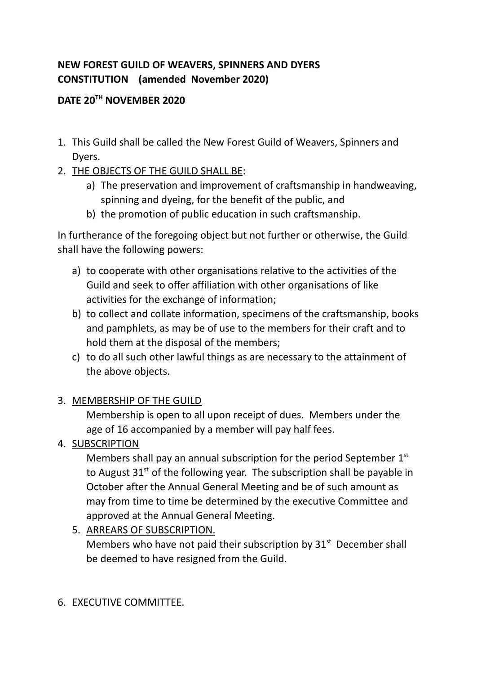# **NEW FOREST GUILD OF WEAVERS, SPINNERS AND DYERS CONSTITUTION (amended November 2020)**

## **DATE 20 TH NOVEMBER 2020**

- 1. This Guild shall be called the New Forest Guild of Weavers, Spinners and Dyers.
- 2. THE OBJECTS OF THE GUILD SHALL BE:
	- a) The preservation and improvement of craftsmanship in handweaving, spinning and dyeing, for the benefit of the public, and
	- b) the promotion of public education in such craftsmanship.

In furtherance of the foregoing object but not further or otherwise, the Guild shall have the following powers:

- a) to cooperate with other organisations relative to the activities of the Guild and seek to offer affiliation with other organisations of like activities for the exchange of information;
- b) to collect and collate information, specimens of the craftsmanship, books and pamphlets, as may be of use to the members for their craft and to hold them at the disposal of the members;
- c) to do all such other lawful things as are necessary to the attainment of the above objects.

## 3. MEMBERSHIP OF THE GUILD

Membership is open to all upon receipt of dues. Members under the age of 16 accompanied by a member will pay half fees.

4. SUBSCRIPTION

Members shall pay an annual subscription for the period September  $1<sup>st</sup>$ to August  $31<sup>st</sup>$  of the following year. The subscription shall be payable in October after the Annual General Meeting and be of such amount as may from time to time be determined by the executive Committee and approved at the Annual General Meeting.

5. ARREARS OF SUBSCRIPTION. Members who have not paid their subscription by  $31<sup>st</sup>$  December shall be deemed to have resigned from the Guild.

## 6. EXECUTIVE COMMITTEE.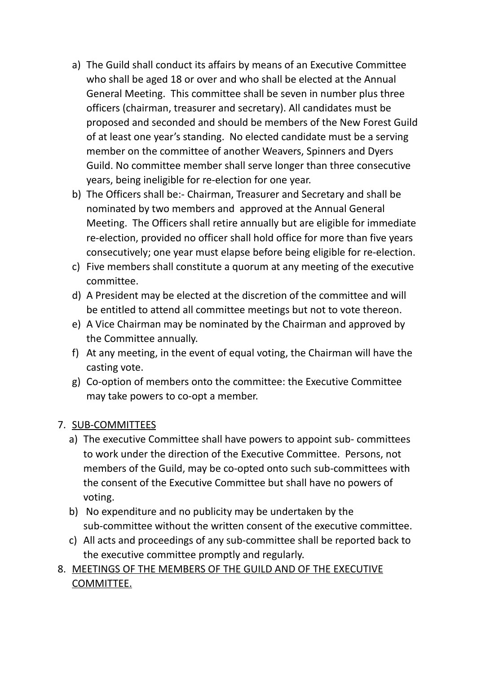- a) The Guild shall conduct its affairs by means of an Executive Committee who shall be aged 18 or over and who shall be elected at the Annual General Meeting. This committee shall be seven in number plus three officers (chairman, treasurer and secretary). All candidates must be proposed and seconded and should be members of the New Forest Guild of at least one year's standing. No elected candidate must be a serving member on the committee of another Weavers, Spinners and Dyers Guild. No committee member shall serve longer than three consecutive years, being ineligible for re-election for one year.
- b) The Officers shall be:- Chairman, Treasurer and Secretary and shall be nominated by two members and approved at the Annual General Meeting. The Officers shall retire annually but are eligible for immediate re-election, provided no officer shall hold office for more than five years consecutively; one year must elapse before being eligible for re-election.
- c) Five members shall constitute a quorum at any meeting of the executive committee.
- d) A President may be elected at the discretion of the committee and will be entitled to attend all committee meetings but not to vote thereon.
- e) A Vice Chairman may be nominated by the Chairman and approved by the Committee annually.
- f) At any meeting, in the event of equal voting, the Chairman will have the casting vote.
- g) Co-option of members onto the committee: the Executive Committee may take powers to co-opt a member.

## 7. SUB-COMMITTEES

- a) The executive Committee shall have powers to appoint sub- committees to work under the direction of the Executive Committee. Persons, not members of the Guild, may be co-opted onto such sub-committees with the consent of the Executive Committee but shall have no powers of voting.
- b) No expenditure and no publicity may be undertaken by the sub-committee without the written consent of the executive committee.
- c) All acts and proceedings of any sub-committee shall be reported back to the executive committee promptly and regularly.
- 8. MEETINGS OF THE MEMBERS OF THE GUILD AND OF THE EXECUTIVE COMMITTEE.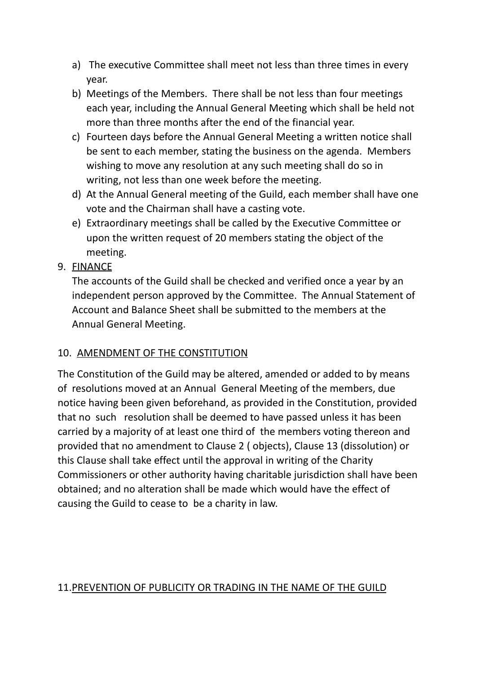- a) The executive Committee shall meet not less than three times in every year.
- b) Meetings of the Members. There shall be not less than four meetings each year, including the Annual General Meeting which shall be held not more than three months after the end of the financial year.
- c) Fourteen days before the Annual General Meeting a written notice shall be sent to each member, stating the business on the agenda. Members wishing to move any resolution at any such meeting shall do so in writing, not less than one week before the meeting.
- d) At the Annual General meeting of the Guild, each member shall have one vote and the Chairman shall have a casting vote.
- e) Extraordinary meetings shall be called by the Executive Committee or upon the written request of 20 members stating the object of the meeting.
- 9. FINANCE

The accounts of the Guild shall be checked and verified once a year by an independent person approved by the Committee. The Annual Statement of Account and Balance Sheet shall be submitted to the members at the Annual General Meeting.

#### 10. AMENDMENT OF THE CONSTITUTION

The Constitution of the Guild may be altered, amended or added to by means of resolutions moved at an Annual General Meeting of the members, due notice having been given beforehand, as provided in the Constitution, provided that no such resolution shall be deemed to have passed unless it has been carried by a majority of at least one third of the members voting thereon and provided that no amendment to Clause 2 ( objects), Clause 13 (dissolution) or this Clause shall take effect until the approval in writing of the Charity Commissioners or other authority having charitable jurisdiction shall have been obtained; and no alteration shall be made which would have the effect of causing the Guild to cease to be a charity in law.

#### 11.PREVENTION OF PUBLICITY OR TRADING IN THE NAME OF THE GUILD